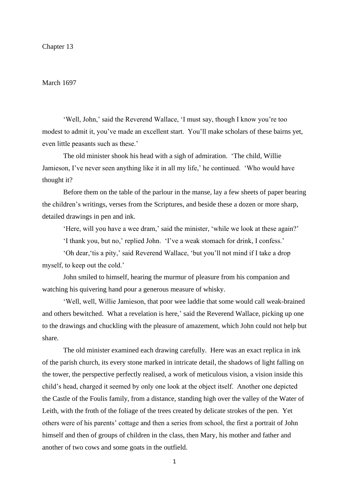# March 1697

'Well, John,' said the Reverend Wallace, 'I must say, though I know you're too modest to admit it, you've made an excellent start. You'll make scholars of these bairns yet, even little peasants such as these.'

The old minister shook his head with a sigh of admiration. 'The child, Willie Jamieson, I've never seen anything like it in all my life,' he continued. 'Who would have thought it?

Before them on the table of the parlour in the manse, lay a few sheets of paper bearing the children's writings, verses from the Scriptures, and beside these a dozen or more sharp, detailed drawings in pen and ink.

'Here, will you have a wee dram,' said the minister, 'while we look at these again?'

'I thank you, but no,' replied John. 'I've a weak stomach for drink, I confess.'

'Oh dear,'tis a pity,' said Reverend Wallace, 'but you'll not mind if I take a drop myself, to keep out the cold.'

John smiled to himself, hearing the murmur of pleasure from his companion and watching his quivering hand pour a generous measure of whisky.

'Well, well, Willie Jamieson, that poor wee laddie that some would call weak-brained and others bewitched. What a revelation is here,' said the Reverend Wallace, picking up one to the drawings and chuckling with the pleasure of amazement, which John could not help but share.

The old minister examined each drawing carefully. Here was an exact replica in ink of the parish church, its every stone marked in intricate detail, the shadows of light falling on the tower, the perspective perfectly realised, a work of meticulous vision, a vision inside this child's head, charged it seemed by only one look at the object itself. Another one depicted the Castle of the Foulis family, from a distance, standing high over the valley of the Water of Leith, with the froth of the foliage of the trees created by delicate strokes of the pen. Yet others were of his parents' cottage and then a series from school, the first a portrait of John himself and then of groups of children in the class, then Mary, his mother and father and another of two cows and some goats in the outfield.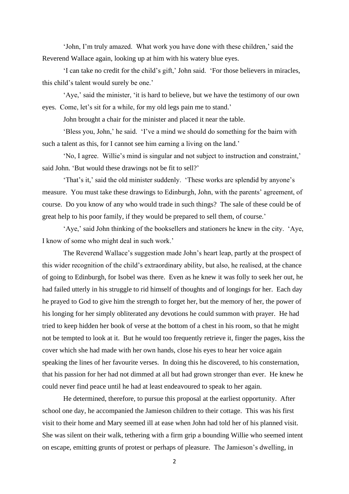'John, I'm truly amazed. What work you have done with these children,' said the Reverend Wallace again, looking up at him with his watery blue eyes.

'I can take no credit for the child's gift,' John said. 'For those believers in miracles, this child's talent would surely be one.'

'Aye,' said the minister, 'it is hard to believe, but we have the testimony of our own eyes. Come, let's sit for a while, for my old legs pain me to stand.'

John brought a chair for the minister and placed it near the table.

'Bless you, John,' he said. 'I've a mind we should do something for the bairn with such a talent as this, for I cannot see him earning a living on the land.'

'No, I agree. Willie's mind is singular and not subject to instruction and constraint,' said John. 'But would these drawings not be fit to sell?'

'That's it,' said the old minister suddenly. 'These works are splendid by anyone's measure. You must take these drawings to Edinburgh, John, with the parents' agreement, of course. Do you know of any who would trade in such things? The sale of these could be of great help to his poor family, if they would be prepared to sell them, of course.'

'Aye,' said John thinking of the booksellers and stationers he knew in the city. 'Aye, I know of some who might deal in such work.'

The Reverend Wallace's suggestion made John's heart leap, partly at the prospect of this wider recognition of the child's extraordinary ability, but also, he realised, at the chance of going to Edinburgh, for Isobel was there. Even as he knew it was folly to seek her out, he had failed utterly in his struggle to rid himself of thoughts and of longings for her. Each day he prayed to God to give him the strength to forget her, but the memory of her, the power of his longing for her simply obliterated any devotions he could summon with prayer. He had tried to keep hidden her book of verse at the bottom of a chest in his room, so that he might not be tempted to look at it. But he would too frequently retrieve it, finger the pages, kiss the cover which she had made with her own hands, close his eyes to hear her voice again speaking the lines of her favourite verses. In doing this he discovered, to his consternation, that his passion for her had not dimmed at all but had grown stronger than ever. He knew he could never find peace until he had at least endeavoured to speak to her again.

He determined, therefore, to pursue this proposal at the earliest opportunity. After school one day, he accompanied the Jamieson children to their cottage. This was his first visit to their home and Mary seemed ill at ease when John had told her of his planned visit. She was silent on their walk, tethering with a firm grip a bounding Willie who seemed intent on escape, emitting grunts of protest or perhaps of pleasure. The Jamieson's dwelling, in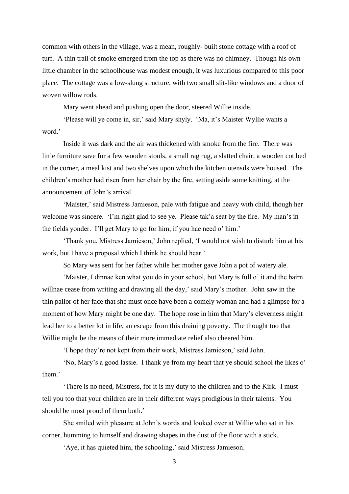common with others in the village, was a mean, roughly- built stone cottage with a roof of turf. A thin trail of smoke emerged from the top as there was no chimney. Though his own little chamber in the schoolhouse was modest enough, it was luxurious compared to this poor place. The cottage was a low-slung structure, with two small slit-like windows and a door of woven willow rods.

Mary went ahead and pushing open the door, steered Willie inside.

'Please will ye come in, sir,' said Mary shyly. 'Ma, it's Maister Wyllie wants a word.'

Inside it was dark and the air was thickened with smoke from the fire. There was little furniture save for a few wooden stools, a small rag rug, a slatted chair, a wooden cot bed in the corner, a meal kist and two shelves upon which the kitchen utensils were housed. The children's mother had risen from her chair by the fire, setting aside some knitting, at the announcement of John's arrival.

'Maister,' said Mistress Jamieson, pale with fatigue and heavy with child, though her welcome was sincere. 'I'm right glad to see ye. Please tak'a seat by the fire. My man's in the fields yonder. I'll get Mary to go for him, if you hae need o' him.'

'Thank you, Mistress Jamieson,' John replied, 'I would not wish to disturb him at his work, but I have a proposal which I think he should hear.'

So Mary was sent for her father while her mother gave John a pot of watery ale.

'Maister, I dinnae ken what you do in your school, but Mary is full o' it and the bairn willnae cease from writing and drawing all the day,' said Mary's mother. John saw in the thin pallor of her face that she must once have been a comely woman and had a glimpse for a moment of how Mary might be one day. The hope rose in him that Mary's cleverness might lead her to a better lot in life, an escape from this draining poverty. The thought too that Willie might be the means of their more immediate relief also cheered him.

'I hope they're not kept from their work, Mistress Jamieson,' said John.

'No, Mary's a good lassie. I thank ye from my heart that ye should school the likes o' them.'

'There is no need, Mistress, for it is my duty to the children and to the Kirk. I must tell you too that your children are in their different ways prodigious in their talents. You should be most proud of them both.'

She smiled with pleasure at John's words and looked over at Willie who sat in his corner, humming to himself and drawing shapes in the dust of the floor with a stick.

'Aye, it has quieted him, the schooling,' said Mistress Jamieson.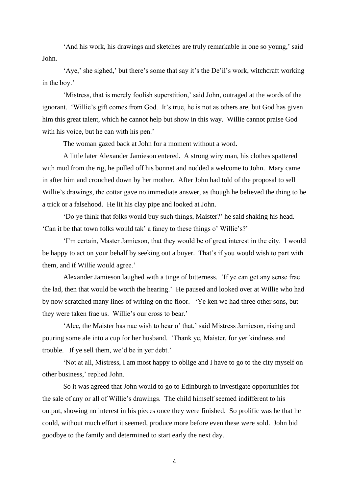'And his work, his drawings and sketches are truly remarkable in one so young,' said John.

'Aye,' she sighed,' but there's some that say it's the De'il's work, witchcraft working in the boy.'

'Mistress, that is merely foolish superstition,' said John, outraged at the words of the ignorant. 'Willie's gift comes from God. It's true, he is not as others are, but God has given him this great talent, which he cannot help but show in this way. Willie cannot praise God with his voice, but he can with his pen.'

The woman gazed back at John for a moment without a word.

A little later Alexander Jamieson entered. A strong wiry man, his clothes spattered with mud from the rig, he pulled off his bonnet and nodded a welcome to John. Mary came in after him and crouched down by her mother. After John had told of the proposal to sell Willie's drawings, the cottar gave no immediate answer, as though he believed the thing to be a trick or a falsehood. He lit his clay pipe and looked at John.

'Do ye think that folks would buy such things, Maister?' he said shaking his head. 'Can it be that town folks would tak' a fancy to these things o' Willie's?'

'I'm certain, Master Jamieson, that they would be of great interest in the city. I would be happy to act on your behalf by seeking out a buyer. That's if you would wish to part with them, and if Willie would agree.'

Alexander Jamieson laughed with a tinge of bitterness. 'If ye can get any sense frae the lad, then that would be worth the hearing.' He paused and looked over at Willie who had by now scratched many lines of writing on the floor. 'Ye ken we had three other sons, but they were taken frae us. Willie's our cross to bear.'

'Alec, the Maister has nae wish to hear o' that,' said Mistress Jamieson, rising and pouring some ale into a cup for her husband. 'Thank ye, Maister, for yer kindness and trouble. If ye sell them, we'd be in yer debt.'

'Not at all, Mistress, I am most happy to oblige and I have to go to the city myself on other business,' replied John.

So it was agreed that John would to go to Edinburgh to investigate opportunities for the sale of any or all of Willie's drawings. The child himself seemed indifferent to his output, showing no interest in his pieces once they were finished. So prolific was he that he could, without much effort it seemed, produce more before even these were sold. John bid goodbye to the family and determined to start early the next day.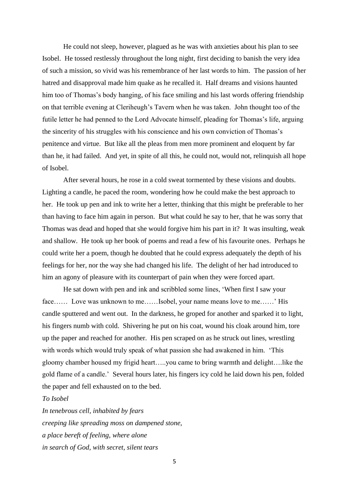He could not sleep, however, plagued as he was with anxieties about his plan to see Isobel. He tossed restlessly throughout the long night, first deciding to banish the very idea of such a mission, so vivid was his remembrance of her last words to him. The passion of her hatred and disapproval made him quake as he recalled it. Half dreams and visions haunted him too of Thomas's body hanging, of his face smiling and his last words offering friendship on that terrible evening at Cleriheugh's Tavern when he was taken. John thought too of the futile letter he had penned to the Lord Advocate himself, pleading for Thomas's life, arguing the sincerity of his struggles with his conscience and his own conviction of Thomas's penitence and virtue. But like all the pleas from men more prominent and eloquent by far than he, it had failed. And yet, in spite of all this, he could not, would not, relinquish all hope of Isobel.

After several hours, he rose in a cold sweat tormented by these visions and doubts. Lighting a candle, he paced the room, wondering how he could make the best approach to her. He took up pen and ink to write her a letter, thinking that this might be preferable to her than having to face him again in person. But what could he say to her, that he was sorry that Thomas was dead and hoped that she would forgive him his part in it? It was insulting, weak and shallow. He took up her book of poems and read a few of his favourite ones. Perhaps he could write her a poem, though he doubted that he could express adequately the depth of his feelings for her, nor the way she had changed his life. The delight of her had introduced to him an agony of pleasure with its counterpart of pain when they were forced apart.

He sat down with pen and ink and scribbled some lines, 'When first I saw your face…… Love was unknown to me……Isobel, your name means love to me……' His candle sputtered and went out. In the darkness, he groped for another and sparked it to light, his fingers numb with cold. Shivering he put on his coat, wound his cloak around him, tore up the paper and reached for another. His pen scraped on as he struck out lines, wrestling with words which would truly speak of what passion she had awakened in him. 'This gloomy chamber housed my frigid heart…..you came to bring warmth and delight….like the gold flame of a candle.' Several hours later, his fingers icy cold he laid down his pen, folded the paper and fell exhausted on to the bed.

*To Isobel*

*In tenebrous cell, inhabited by fears creeping like spreading moss on dampened stone, a place bereft of feeling, where alone in search of God, with secret, silent tears*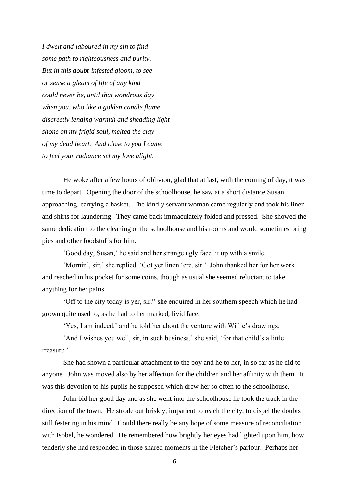*I dwelt and laboured in my sin to find some path to righteousness and purity. But in this doubt-infested gloom, to see or sense a gleam of life of any kind could never be, until that wondrous day when you, who like a golden candle flame discreetly lending warmth and shedding light shone on my frigid soul, melted the clay of my dead heart. And close to you I came to feel your radiance set my love alight.*

He woke after a few hours of oblivion, glad that at last, with the coming of day, it was time to depart. Opening the door of the schoolhouse, he saw at a short distance Susan approaching, carrying a basket. The kindly servant woman came regularly and took his linen and shirts for laundering. They came back immaculately folded and pressed. She showed the same dedication to the cleaning of the schoolhouse and his rooms and would sometimes bring pies and other foodstuffs for him.

'Good day, Susan,' he said and her strange ugly face lit up with a smile.

'Mornin', sir,' she replied, 'Got yer linen 'ere, sir.' John thanked her for her work and reached in his pocket for some coins, though as usual she seemed reluctant to take anything for her pains.

'Off to the city today is yer, sir?' she enquired in her southern speech which he had grown quite used to, as he had to her marked, livid face.

'Yes, I am indeed,' and he told her about the venture with Willie's drawings.

'And I wishes you well, sir, in such business,' she said, 'for that child's a little treasure.'

She had shown a particular attachment to the boy and he to her, in so far as he did to anyone. John was moved also by her affection for the children and her affinity with them. It was this devotion to his pupils he supposed which drew her so often to the schoolhouse.

John bid her good day and as she went into the schoolhouse he took the track in the direction of the town. He strode out briskly, impatient to reach the city, to dispel the doubts still festering in his mind. Could there really be any hope of some measure of reconciliation with Isobel, he wondered. He remembered how brightly her eyes had lighted upon him, how tenderly she had responded in those shared moments in the Fletcher's parlour. Perhaps her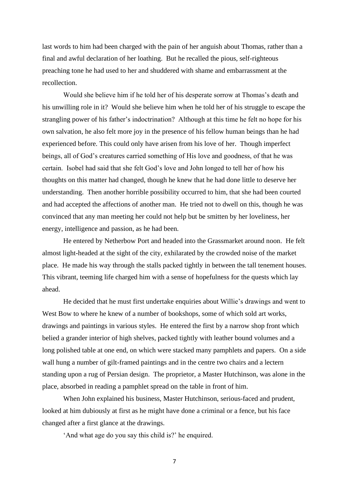last words to him had been charged with the pain of her anguish about Thomas, rather than a final and awful declaration of her loathing. But he recalled the pious, self-righteous preaching tone he had used to her and shuddered with shame and embarrassment at the recollection.

Would she believe him if he told her of his desperate sorrow at Thomas's death and his unwilling role in it? Would she believe him when he told her of his struggle to escape the strangling power of his father's indoctrination? Although at this time he felt no hope for his own salvation, he also felt more joy in the presence of his fellow human beings than he had experienced before. This could only have arisen from his love of her. Though imperfect beings, all of God's creatures carried something of His love and goodness, of that he was certain. Isobel had said that she felt God's love and John longed to tell her of how his thoughts on this matter had changed, though he knew that he had done little to deserve her understanding. Then another horrible possibility occurred to him, that she had been courted and had accepted the affections of another man. He tried not to dwell on this, though he was convinced that any man meeting her could not help but be smitten by her loveliness, her energy, intelligence and passion, as he had been.

He entered by Netherbow Port and headed into the Grassmarket around noon. He felt almost light-headed at the sight of the city, exhilarated by the crowded noise of the market place. He made his way through the stalls packed tightly in between the tall tenement houses. This vibrant, teeming life charged him with a sense of hopefulness for the quests which lay ahead.

He decided that he must first undertake enquiries about Willie's drawings and went to West Bow to where he knew of a number of bookshops, some of which sold art works, drawings and paintings in various styles. He entered the first by a narrow shop front which belied a grander interior of high shelves, packed tightly with leather bound volumes and a long polished table at one end, on which were stacked many pamphlets and papers. On a side wall hung a number of gilt-framed paintings and in the centre two chairs and a lectern standing upon a rug of Persian design. The proprietor, a Master Hutchinson, was alone in the place, absorbed in reading a pamphlet spread on the table in front of him.

When John explained his business, Master Hutchinson, serious-faced and prudent, looked at him dubiously at first as he might have done a criminal or a fence, but his face changed after a first glance at the drawings.

'And what age do you say this child is?' he enquired.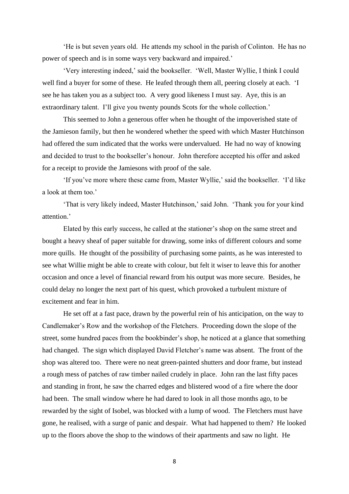'He is but seven years old. He attends my school in the parish of Colinton. He has no power of speech and is in some ways very backward and impaired.'

'Very interesting indeed,' said the bookseller. 'Well, Master Wyllie, I think I could well find a buyer for some of these. He leafed through them all, peering closely at each. 'I see he has taken you as a subject too. A very good likeness I must say. Aye, this is an extraordinary talent. I'll give you twenty pounds Scots for the whole collection.'

This seemed to John a generous offer when he thought of the impoverished state of the Jamieson family, but then he wondered whether the speed with which Master Hutchinson had offered the sum indicated that the works were undervalued. He had no way of knowing and decided to trust to the bookseller's honour. John therefore accepted his offer and asked for a receipt to provide the Jamiesons with proof of the sale.

'If you've more where these came from, Master Wyllie,' said the bookseller. 'I'd like a look at them too.'

'That is very likely indeed, Master Hutchinson,' said John. 'Thank you for your kind attention.'

Elated by this early success, he called at the stationer's shop on the same street and bought a heavy sheaf of paper suitable for drawing, some inks of different colours and some more quills. He thought of the possibility of purchasing some paints, as he was interested to see what Willie might be able to create with colour, but felt it wiser to leave this for another occasion and once a level of financial reward from his output was more secure. Besides, he could delay no longer the next part of his quest, which provoked a turbulent mixture of excitement and fear in him.

He set off at a fast pace, drawn by the powerful rein of his anticipation, on the way to Candlemaker's Row and the workshop of the Fletchers. Proceeding down the slope of the street, some hundred paces from the bookbinder's shop, he noticed at a glance that something had changed. The sign which displayed David Fletcher's name was absent. The front of the shop was altered too. There were no neat green-painted shutters and door frame, but instead a rough mess of patches of raw timber nailed crudely in place. John ran the last fifty paces and standing in front, he saw the charred edges and blistered wood of a fire where the door had been. The small window where he had dared to look in all those months ago, to be rewarded by the sight of Isobel, was blocked with a lump of wood. The Fletchers must have gone, he realised, with a surge of panic and despair. What had happened to them? He looked up to the floors above the shop to the windows of their apartments and saw no light. He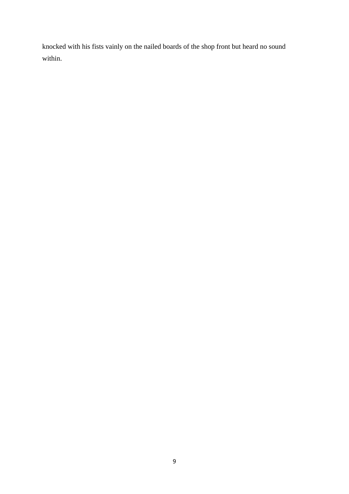knocked with his fists vainly on the nailed boards of the shop front but heard no sound within.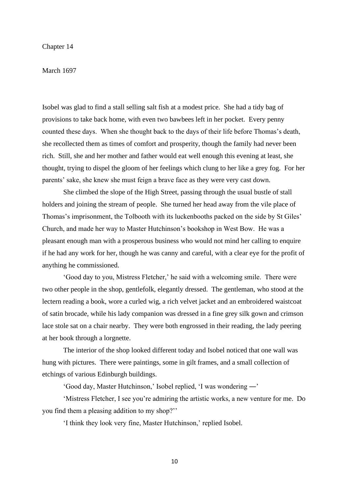## Chapter 14

### March 1697

Isobel was glad to find a stall selling salt fish at a modest price. She had a tidy bag of provisions to take back home, with even two bawbees left in her pocket. Every penny counted these days. When she thought back to the days of their life before Thomas's death, she recollected them as times of comfort and prosperity, though the family had never been rich. Still, she and her mother and father would eat well enough this evening at least, she thought, trying to dispel the gloom of her feelings which clung to her like a grey fog. For her parents' sake, she knew she must feign a brave face as they were very cast down.

She climbed the slope of the High Street, passing through the usual bustle of stall holders and joining the stream of people. She turned her head away from the vile place of Thomas's imprisonment, the Tolbooth with its luckenbooths packed on the side by St Giles' Church, and made her way to Master Hutchinson's bookshop in West Bow. He was a pleasant enough man with a prosperous business who would not mind her calling to enquire if he had any work for her, though he was canny and careful, with a clear eye for the profit of anything he commissioned.

'Good day to you, Mistress Fletcher,' he said with a welcoming smile. There were two other people in the shop, gentlefolk, elegantly dressed. The gentleman, who stood at the lectern reading a book, wore a curled wig, a rich velvet jacket and an embroidered waistcoat of satin brocade, while his lady companion was dressed in a fine grey silk gown and crimson lace stole sat on a chair nearby. They were both engrossed in their reading, the lady peering at her book through a lorgnette.

The interior of the shop looked different today and Isobel noticed that one wall was hung with pictures. There were paintings, some in gilt frames, and a small collection of etchings of various Edinburgh buildings.

'Good day, Master Hutchinson,' Isobel replied, 'I was wondering ―'

'Mistress Fletcher, I see you're admiring the artistic works, a new venture for me. Do you find them a pleasing addition to my shop?''

'I think they look very fine, Master Hutchinson,' replied Isobel.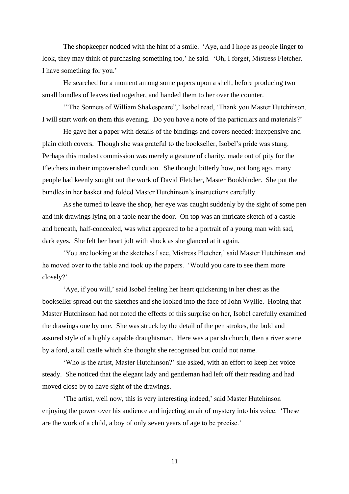The shopkeeper nodded with the hint of a smile. 'Aye, and I hope as people linger to look, they may think of purchasing something too,' he said. 'Oh, I forget, Mistress Fletcher. I have something for you.'

He searched for a moment among some papers upon a shelf, before producing two small bundles of leaves tied together, and handed them to her over the counter.

'"The Sonnets of William Shakespeare",' Isobel read, 'Thank you Master Hutchinson. I will start work on them this evening. Do you have a note of the particulars and materials?'

He gave her a paper with details of the bindings and covers needed: inexpensive and plain cloth covers. Though she was grateful to the bookseller, Isobel's pride was stung. Perhaps this modest commission was merely a gesture of charity, made out of pity for the Fletchers in their impoverished condition. She thought bitterly how, not long ago, many people had keenly sought out the work of David Fletcher, Master Bookbinder. She put the bundles in her basket and folded Master Hutchinson's instructions carefully.

As she turned to leave the shop, her eye was caught suddenly by the sight of some pen and ink drawings lying on a table near the door. On top was an intricate sketch of a castle and beneath, half-concealed, was what appeared to be a portrait of a young man with sad, dark eyes. She felt her heart jolt with shock as she glanced at it again.

'You are looking at the sketches I see, Mistress Fletcher,' said Master Hutchinson and he moved over to the table and took up the papers. 'Would you care to see them more closely?'

'Aye, if you will,' said Isobel feeling her heart quickening in her chest as the bookseller spread out the sketches and she looked into the face of John Wyllie. Hoping that Master Hutchinson had not noted the effects of this surprise on her, Isobel carefully examined the drawings one by one. She was struck by the detail of the pen strokes, the bold and assured style of a highly capable draughtsman. Here was a parish church, then a river scene by a ford, a tall castle which she thought she recognised but could not name.

'Who is the artist, Master Hutchinson?' she asked, with an effort to keep her voice steady. She noticed that the elegant lady and gentleman had left off their reading and had moved close by to have sight of the drawings.

'The artist, well now, this is very interesting indeed,' said Master Hutchinson enjoying the power over his audience and injecting an air of mystery into his voice. 'These are the work of a child, a boy of only seven years of age to be precise.'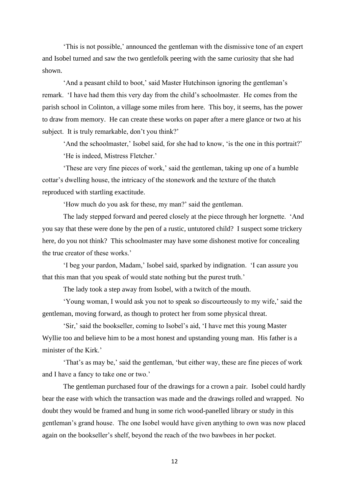'This is not possible,' announced the gentleman with the dismissive tone of an expert and Isobel turned and saw the two gentlefolk peering with the same curiosity that she had shown.

'And a peasant child to boot,' said Master Hutchinson ignoring the gentleman's remark. 'I have had them this very day from the child's schoolmaster. He comes from the parish school in Colinton, a village some miles from here. This boy, it seems, has the power to draw from memory. He can create these works on paper after a mere glance or two at his subject. It is truly remarkable, don't you think?'

'And the schoolmaster,' Isobel said, for she had to know, 'is the one in this portrait?' 'He is indeed, Mistress Fletcher.'

'These are very fine pieces of work,' said the gentleman, taking up one of a humble cottar's dwelling house, the intricacy of the stonework and the texture of the thatch reproduced with startling exactitude.

'How much do you ask for these, my man?' said the gentleman.

The lady stepped forward and peered closely at the piece through her lorgnette. 'And you say that these were done by the pen of a rustic, untutored child? I suspect some trickery here, do you not think? This schoolmaster may have some dishonest motive for concealing the true creator of these works.'

'I beg your pardon, Madam,' Isobel said, sparked by indignation. 'I can assure you that this man that you speak of would state nothing but the purest truth.'

The lady took a step away from Isobel, with a twitch of the mouth.

'Young woman, I would ask you not to speak so discourteously to my wife,' said the gentleman, moving forward, as though to protect her from some physical threat.

'Sir,' said the bookseller, coming to Isobel's aid, 'I have met this young Master Wyllie too and believe him to be a most honest and upstanding young man. His father is a minister of the Kirk.'

'That's as may be,' said the gentleman, 'but either way, these are fine pieces of work and I have a fancy to take one or two.'

The gentleman purchased four of the drawings for a crown a pair. Isobel could hardly bear the ease with which the transaction was made and the drawings rolled and wrapped. No doubt they would be framed and hung in some rich wood-panelled library or study in this gentleman's grand house. The one Isobel would have given anything to own was now placed again on the bookseller's shelf, beyond the reach of the two bawbees in her pocket.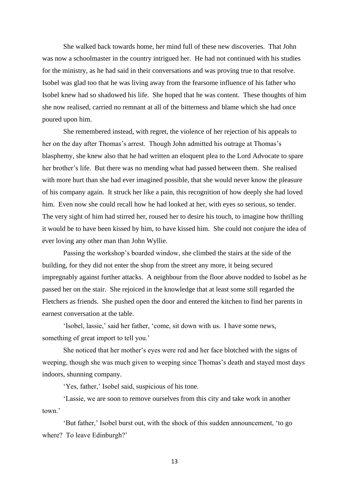She walked back towards home, her mind full of these new discoveries. That John was now a schoolmaster in the country intrigued her. He had not continued with his studies for the ministry, as he had said in their conversations and was proving true to that resolve. Isobel was glad too that he was living away from the fearsome influence of his father who Isobel knew had so shadowed his life. She hoped that he was content. These thoughts of him she now realised, carried no remnant at all of the bitterness and blame which she had once poured upon him.

She remembered instead, with regret, the violence of her rejection of his appeals to her on the day after Thomas's arrest. Though John admitted his outrage at Thomas's blasphemy, she knew also that he had written an eloquent plea to the Lord Advocate to spare her brother's life. But there was no mending what had passed between them. She realised with more hurt than she had ever imagined possible, that she would never know the pleasure of his company again. It struck her like a pain, this recognition of how deeply she had loved him. Even now she could recall how he had looked at her, with eyes so serious, so tender. The very sight of him had stirred her, roused her to desire his touch, to imagine how thrilling it would be to have been kissed by him, to have kissed him. She could not conjure the idea of ever loving any other man than John Wyllie.

Passing the workshop's boarded window, she climbed the stairs at the side of the building, for they did not enter the shop from the street any more, it being secured impregnably against further attacks. A neighbour from the floor above nodded to Isobel as he passed her on the stair. She rejoiced in the knowledge that at least some still regarded the Fletchers as friends. She pushed open the door and entered the kitchen to find her parents in earnest conversation at the table.

'Isobel, lassie,' said her father, 'come, sit down with us. I have some news, something of great import to tell you.'

She noticed that her mother's eyes were red and her face blotched with the signs of weeping, though she was much given to weeping since Thomas's death and stayed most days indoors, shunning company.

'Yes, father,' Isobel said, suspicious of his tone.

'Lassie, we are soon to remove ourselves from this city and take work in another town.'

'But father,' Isobel burst out, with the shock of this sudden announcement, 'to go where? To leave Edinburgh?'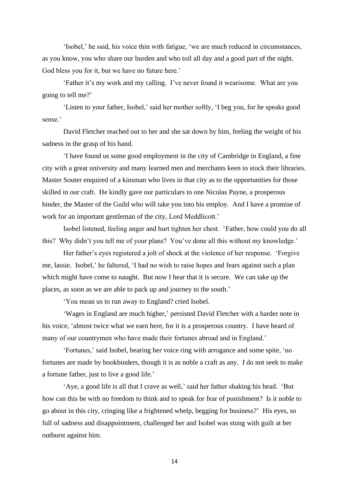'Isobel,' he said, his voice thin with fatigue, 'we are much reduced in circumstances, as you know, you who share our burden and who toil all day and a good part of the night. God bless you for it, but we have no future here.'

'Father it's my work and my calling. I've never found it wearisome. What are you going to tell me?'

'Listen to your father, Isobel,' said her mother softly, 'I beg you, for he speaks good sense.'

David Fletcher reached out to her and she sat down by him, feeling the weight of his sadness in the grasp of his hand.

'I have found us some good employment in the city of Cambridge in England, a fine city with a great university and many learned men and merchants keen to stock their libraries. Master Souter enquired of a kinsman who lives in that city as to the opportunities for those skilled in our craft. He kindly gave our particulars to one Nicolas Payne, a prosperous binder, the Master of the Guild who will take you into his employ. And I have a promise of work for an important gentleman of the city, Lord Meddlicott.'

Isobel listened, feeling anger and hurt tighten her chest. 'Father, how could you do all this? Why didn't you tell me of your plans? You've done all this without my knowledge.'

Her father's eyes registered a jolt of shock at the violence of her response. 'Forgive me, lassie. Isobel,' he faltered, 'I had no wish to raise hopes and fears against such a plan which might have come to naught. But now I hear that it is secure. We can take up the places, as soon as we are able to pack up and journey to the south.'

'You mean us to run away to England? cried Isobel.

'Wages in England are much higher,' persisted David Fletcher with a harder note in his voice, 'almost twice what we earn here, for it is a prosperous country. I have heard of many of our countrymen who have made their fortunes abroad and in England.'

'Fortunes,' said Isobel, hearing her voice ring with arrogance and some spite, 'no fortunes are made by bookbinders, though it is as noble a craft as any. *I* do not seek to make a fortune father, just to live a good life.'

'Aye, a good life is all that I crave as well,' said her father shaking his head. 'But how can this be with no freedom to think and to speak for fear of punishment? Is it noble to go about in this city, cringing like a frightened whelp, begging for business?' His eyes, so full of sadness and disappointment, challenged her and Isobel was stung with guilt at her outburst against him.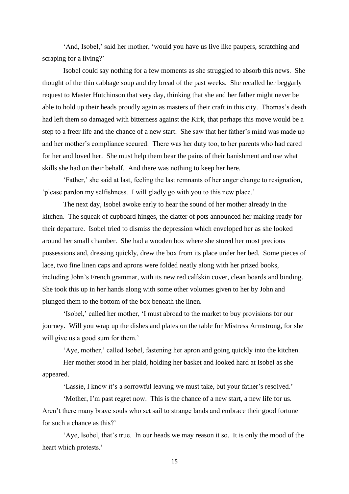'And, Isobel,' said her mother, 'would you have us live like paupers, scratching and scraping for a living?'

Isobel could say nothing for a few moments as she struggled to absorb this news. She thought of the thin cabbage soup and dry bread of the past weeks. She recalled her beggarly request to Master Hutchinson that very day, thinking that she and her father might never be able to hold up their heads proudly again as masters of their craft in this city. Thomas's death had left them so damaged with bitterness against the Kirk, that perhaps this move would be a step to a freer life and the chance of a new start. She saw that her father's mind was made up and her mother's compliance secured. There was her duty too, to her parents who had cared for her and loved her. She must help them bear the pains of their banishment and use what skills she had on their behalf. And there was nothing to keep her here.

'Father,' she said at last, feeling the last remnants of her anger change to resignation, 'please pardon my selfishness. I will gladly go with you to this new place.'

The next day, Isobel awoke early to hear the sound of her mother already in the kitchen. The squeak of cupboard hinges, the clatter of pots announced her making ready for their departure. Isobel tried to dismiss the depression which enveloped her as she looked around her small chamber. She had a wooden box where she stored her most precious possessions and, dressing quickly, drew the box from its place under her bed. Some pieces of lace, two fine linen caps and aprons were folded neatly along with her prized books, including John's French grammar, with its new red calfskin cover, clean boards and binding. She took this up in her hands along with some other volumes given to her by John and plunged them to the bottom of the box beneath the linen.

'Isobel,' called her mother, 'I must abroad to the market to buy provisions for our journey. Will you wrap up the dishes and plates on the table for Mistress Armstrong, for she will give us a good sum for them.'

'Aye, mother,' called Isobel, fastening her apron and going quickly into the kitchen.

Her mother stood in her plaid, holding her basket and looked hard at Isobel as she appeared.

'Lassie, I know it's a sorrowful leaving we must take, but your father's resolved.'

'Mother, I'm past regret now. This is the chance of a new start, a new life for us. Aren't there many brave souls who set sail to strange lands and embrace their good fortune for such a chance as this?'

'Aye, Isobel, that's true. In our heads we may reason it so. It is only the mood of the heart which protests.'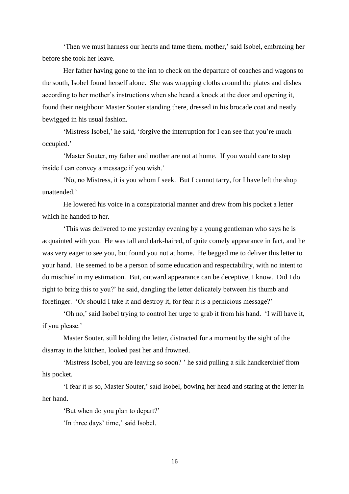'Then we must harness our hearts and tame them, mother,' said Isobel, embracing her before she took her leave.

Her father having gone to the inn to check on the departure of coaches and wagons to the south, Isobel found herself alone. She was wrapping cloths around the plates and dishes according to her mother's instructions when she heard a knock at the door and opening it, found their neighbour Master Souter standing there, dressed in his brocade coat and neatly bewigged in his usual fashion.

'Mistress Isobel,' he said, 'forgive the interruption for I can see that you're much occupied.'

'Master Souter, my father and mother are not at home. If you would care to step inside I can convey a message if you wish.'

'No, no Mistress, it is you whom I seek. But I cannot tarry, for I have left the shop unattended.'

He lowered his voice in a conspiratorial manner and drew from his pocket a letter which he handed to her.

'This was delivered to me yesterday evening by a young gentleman who says he is acquainted with you. He was tall and dark-haired, of quite comely appearance in fact, and he was very eager to see you, but found you not at home. He begged me to deliver this letter to your hand. He seemed to be a person of some education and respectability, with no intent to do mischief in my estimation. But, outward appearance can be deceptive, I know. Did I do right to bring this to you?' he said, dangling the letter delicately between his thumb and forefinger. 'Or should I take it and destroy it, for fear it is a pernicious message?'

'Oh no,' said Isobel trying to control her urge to grab it from his hand. 'I will have it, if you please.'

Master Souter, still holding the letter, distracted for a moment by the sight of the disarray in the kitchen, looked past her and frowned.

'Mistress Isobel, you are leaving so soon? ' he said pulling a silk handkerchief from his pocket.

'I fear it is so, Master Souter,' said Isobel, bowing her head and staring at the letter in her hand.

'But when do you plan to depart?'

'In three days' time,' said Isobel.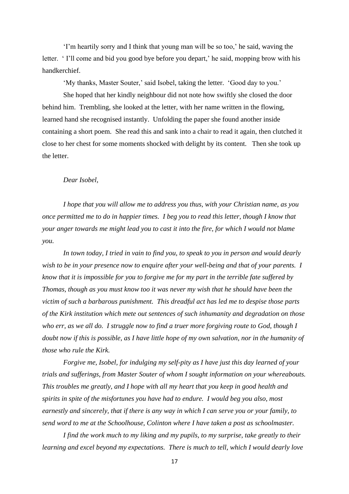'I'm heartily sorry and I think that young man will be so too,' he said, waving the letter. ' I'll come and bid you good bye before you depart,' he said, mopping brow with his handkerchief.

'My thanks, Master Souter,' said Isobel, taking the letter. 'Good day to you.'

She hoped that her kindly neighbour did not note how swiftly she closed the door behind him. Trembling, she looked at the letter, with her name written in the flowing, learned hand she recognised instantly. Unfolding the paper she found another inside containing a short poem. She read this and sank into a chair to read it again, then clutched it close to her chest for some moments shocked with delight by its content. Then she took up the letter.

#### *Dear Isobel,*

*I hope that you will allow me to address you thus, with your Christian name, as you once permitted me to do in happier times. I beg you to read this letter, though I know that your anger towards me might lead you to cast it into the fire, for which I would not blame you.*

*In town today, I tried in vain to find you, to speak to you in person and would dearly wish to be in your presence now to enquire after your well-being and that of your parents. I know that it is impossible for you to forgive me for my part in the terrible fate suffered by Thomas, though as you must know too it was never my wish that he should have been the victim of such a barbarous punishment. This dreadful act has led me to despise those parts of the Kirk institution which mete out sentences of such inhumanity and degradation on those who err, as we all do. I struggle now to find a truer more forgiving route to God, though I doubt now if this is possible, as I have little hope of my own salvation, nor in the humanity of those who rule the Kirk.*

*Forgive me, Isobel, for indulging my self-pity as I have just this day learned of your trials and sufferings, from Master Souter of whom I sought information on your whereabouts. This troubles me greatly, and I hope with all my heart that you keep in good health and spirits in spite of the misfortunes you have had to endure. I would beg you also, most earnestly and sincerely, that if there is any way in which I can serve you or your family, to send word to me at the Schoolhouse, Colinton where I have taken a post as schoolmaster.*

*I find the work much to my liking and my pupils, to my surprise, take greatly to their learning and excel beyond my expectations. There is much to tell, which I would dearly love*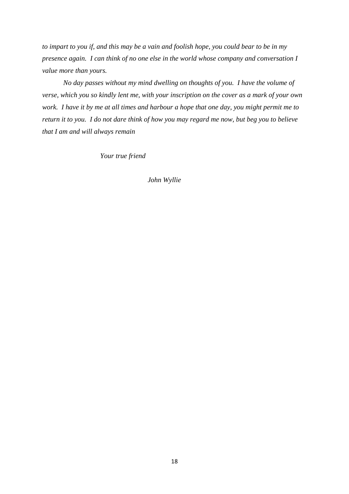*to impart to you if, and this may be a vain and foolish hope, you could bear to be in my presence again. I can think of no one else in the world whose company and conversation I value more than yours.*

*No day passes without my mind dwelling on thoughts of you. I have the volume of verse, which you so kindly lent me, with your inscription on the cover as a mark of your own work. I have it by me at all times and harbour a hope that one day, you might permit me to return it to you. I do not dare think of how you may regard me now, but beg you to believe that I am and will always remain*

 *Your true friend* 

*John Wyllie*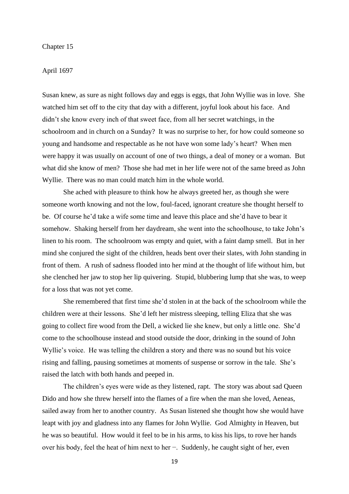## Chapter 15

## April 1697

Susan knew, as sure as night follows day and eggs is eggs, that John Wyllie was in love. She watched him set off to the city that day with a different, joyful look about his face. And didn't she know every inch of that sweet face, from all her secret watchings, in the schoolroom and in church on a Sunday? It was no surprise to her, for how could someone so young and handsome and respectable as he not have won some lady's heart? When men were happy it was usually on account of one of two things, a deal of money or a woman. But what did she know of men? Those she had met in her life were not of the same breed as John Wyllie. There was no man could match him in the whole world.

She ached with pleasure to think how he always greeted her, as though she were someone worth knowing and not the low, foul-faced, ignorant creature she thought herself to be. Of course he'd take a wife some time and leave this place and she'd have to bear it somehow. Shaking herself from her daydream, she went into the schoolhouse, to take John's linen to his room. The schoolroom was empty and quiet, with a faint damp smell. But in her mind she conjured the sight of the children, heads bent over their slates, with John standing in front of them. A rush of sadness flooded into her mind at the thought of life without him, but she clenched her jaw to stop her lip quivering. Stupid, blubbering lump that she was, to weep for a loss that was not yet come.

She remembered that first time she'd stolen in at the back of the schoolroom while the children were at their lessons. She'd left her mistress sleeping, telling Eliza that she was going to collect fire wood from the Dell, a wicked lie she knew, but only a little one. She'd come to the schoolhouse instead and stood outside the door, drinking in the sound of John Wyllie's voice. He was telling the children a story and there was no sound but his voice rising and falling, pausing sometimes at moments of suspense or sorrow in the tale. She's raised the latch with both hands and peeped in.

The children's eyes were wide as they listened, rapt. The story was about sad Queen Dido and how she threw herself into the flames of a fire when the man she loved, Aeneas, sailed away from her to another country. As Susan listened she thought how she would have leapt with joy and gladness into any flames for John Wyllie. God Almighty in Heaven, but he was so beautiful. How would it feel to be in his arms, to kiss his lips, to rove her hands over his body, feel the heat of him next to her −. Suddenly, he caught sight of her, even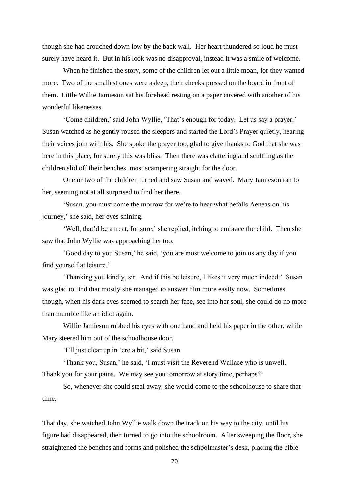though she had crouched down low by the back wall. Her heart thundered so loud he must surely have heard it. But in his look was no disapproval, instead it was a smile of welcome.

When he finished the story, some of the children let out a little moan, for they wanted more. Two of the smallest ones were asleep, their cheeks pressed on the board in front of them. Little Willie Jamieson sat his forehead resting on a paper covered with another of his wonderful likenesses.

'Come children,' said John Wyllie, 'That's enough for today. Let us say a prayer.' Susan watched as he gently roused the sleepers and started the Lord's Prayer quietly, hearing their voices join with his. She spoke the prayer too, glad to give thanks to God that she was here in this place, for surely this was bliss. Then there was clattering and scuffling as the children slid off their benches, most scampering straight for the door.

One or two of the children turned and saw Susan and waved. Mary Jamieson ran to her, seeming not at all surprised to find her there.

'Susan, you must come the morrow for we're to hear what befalls Aeneas on his journey,' she said, her eyes shining.

'Well, that'd be a treat, for sure,' she replied, itching to embrace the child. Then she saw that John Wyllie was approaching her too.

'Good day to you Susan,' he said, 'you are most welcome to join us any day if you find yourself at leisure.'

'Thanking you kindly, sir. And if this be leisure, I likes it very much indeed.' Susan was glad to find that mostly she managed to answer him more easily now. Sometimes though, when his dark eyes seemed to search her face, see into her soul, she could do no more than mumble like an idiot again.

Willie Jamieson rubbed his eyes with one hand and held his paper in the other, while Mary steered him out of the schoolhouse door.

'I'll just clear up in 'ere a bit,' said Susan.

'Thank you, Susan,' he said, 'I must visit the Reverend Wallace who is unwell. Thank you for your pains. We may see you tomorrow at story time, perhaps?'

So, whenever she could steal away, she would come to the schoolhouse to share that time.

That day, she watched John Wyllie walk down the track on his way to the city, until his figure had disappeared, then turned to go into the schoolroom. After sweeping the floor, she straightened the benches and forms and polished the schoolmaster's desk, placing the bible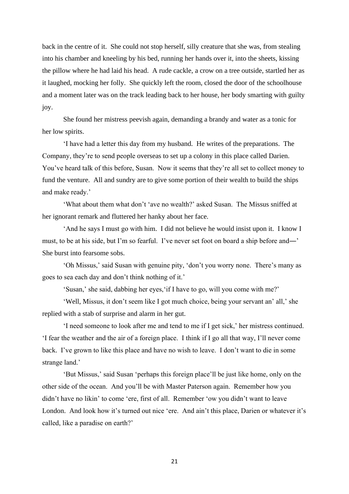back in the centre of it. She could not stop herself, silly creature that she was, from stealing into his chamber and kneeling by his bed, running her hands over it, into the sheets, kissing the pillow where he had laid his head. A rude cackle, a crow on a tree outside, startled her as it laughed, mocking her folly. She quickly left the room, closed the door of the schoolhouse and a moment later was on the track leading back to her house, her body smarting with guilty joy.

She found her mistress peevish again, demanding a brandy and water as a tonic for her low spirits.

'I have had a letter this day from my husband. He writes of the preparations. The Company, they're to send people overseas to set up a colony in this place called Darien. You've heard talk of this before, Susan. Now it seems that they're all set to collect money to fund the venture. All and sundry are to give some portion of their wealth to build the ships and make ready.'

'What about them what don't 'ave no wealth?' asked Susan. The Missus sniffed at her ignorant remark and fluttered her hanky about her face.

'And he says I must go with him. I did not believe he would insist upon it. I know I must, to be at his side, but I'm so fearful. I've never set foot on board a ship before and―' She burst into fearsome sobs.

'Oh Missus,' said Susan with genuine pity, 'don't you worry none. There's many as goes to sea each day and don't think nothing of it.'

'Susan,' she said, dabbing her eyes,'if I have to go, will you come with me?'

'Well, Missus, it don't seem like I got much choice, being your servant an' all,' she replied with a stab of surprise and alarm in her gut.

'I need someone to look after me and tend to me if I get sick,' her mistress continued. 'I fear the weather and the air of a foreign place. I think if I go all that way, I'll never come back. I've grown to like this place and have no wish to leave. I don't want to die in some strange land.'

'But Missus,' said Susan 'perhaps this foreign place'll be just like home, only on the other side of the ocean. And you'll be with Master Paterson again. Remember how you didn't have no likin' to come 'ere, first of all. Remember 'ow you didn't want to leave London. And look how it's turned out nice 'ere. And ain't this place, Darien or whatever it's called, like a paradise on earth?'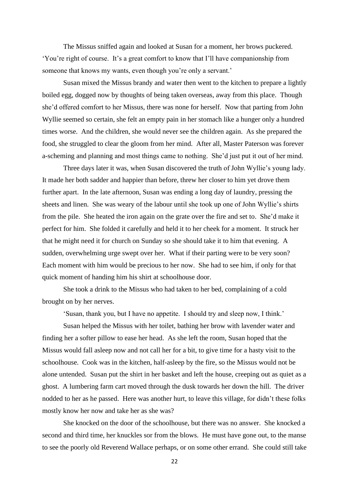The Missus sniffed again and looked at Susan for a moment, her brows puckered. 'You're right of course. It's a great comfort to know that I'll have companionship from someone that knows my wants, even though you're only a servant.'

Susan mixed the Missus brandy and water then went to the kitchen to prepare a lightly boiled egg, dogged now by thoughts of being taken overseas, away from this place. Though she'd offered comfort to her Missus, there was none for herself. Now that parting from John Wyllie seemed so certain, she felt an empty pain in her stomach like a hunger only a hundred times worse. And the children, she would never see the children again. As she prepared the food, she struggled to clear the gloom from her mind. After all, Master Paterson was forever a-scheming and planning and most things came to nothing. She'd just put it out of her mind.

Three days later it was, when Susan discovered the truth of John Wyllie's young lady. It made her both sadder and happier than before, threw her closer to him yet drove them further apart. In the late afternoon, Susan was ending a long day of laundry, pressing the sheets and linen. She was weary of the labour until she took up one of John Wyllie's shirts from the pile. She heated the iron again on the grate over the fire and set to. She'd make it perfect for him. She folded it carefully and held it to her cheek for a moment. It struck her that he might need it for church on Sunday so she should take it to him that evening. A sudden, overwhelming urge swept over her. What if their parting were to be very soon? Each moment with him would be precious to her now. She had to see him, if only for that quick moment of handing him his shirt at schoolhouse door.

She took a drink to the Missus who had taken to her bed, complaining of a cold brought on by her nerves.

'Susan, thank you, but I have no appetite. I should try and sleep now, I think.'

Susan helped the Missus with her toilet, bathing her brow with lavender water and finding her a softer pillow to ease her head. As she left the room, Susan hoped that the Missus would fall asleep now and not call her for a bit, to give time for a hasty visit to the schoolhouse. Cook was in the kitchen, half-asleep by the fire, so the Missus would not be alone untended. Susan put the shirt in her basket and left the house, creeping out as quiet as a ghost. A lumbering farm cart moved through the dusk towards her down the hill. The driver nodded to her as he passed. Here was another hurt, to leave this village, for didn't these folks mostly know her now and take her as she was?

She knocked on the door of the schoolhouse, but there was no answer. She knocked a second and third time, her knuckles sor from the blows. He must have gone out, to the manse to see the poorly old Reverend Wallace perhaps, or on some other errand. She could still take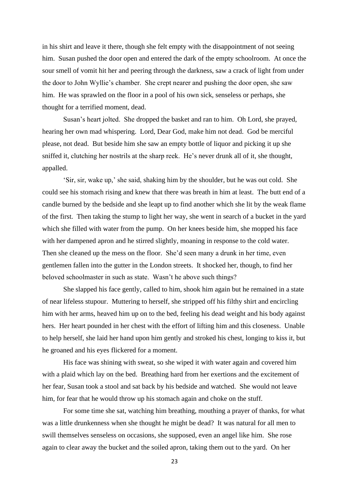in his shirt and leave it there, though she felt empty with the disappointment of not seeing him. Susan pushed the door open and entered the dark of the empty schoolroom. At once the sour smell of vomit hit her and peering through the darkness, saw a crack of light from under the door to John Wyllie's chamber. She crept nearer and pushing the door open, she saw him. He was sprawled on the floor in a pool of his own sick, senseless or perhaps, she thought for a terrified moment, dead.

Susan's heart jolted. She dropped the basket and ran to him. Oh Lord, she prayed, hearing her own mad whispering. Lord, Dear God, make him not dead. God be merciful please, not dead. But beside him she saw an empty bottle of liquor and picking it up she sniffed it, clutching her nostrils at the sharp reek. He's never drunk all of it, she thought, appalled.

'Sir, sir, wake up,' she said, shaking him by the shoulder, but he was out cold. She could see his stomach rising and knew that there was breath in him at least. The butt end of a candle burned by the bedside and she leapt up to find another which she lit by the weak flame of the first. Then taking the stump to light her way, she went in search of a bucket in the yard which she filled with water from the pump. On her knees beside him, she mopped his face with her dampened apron and he stirred slightly, moaning in response to the cold water. Then she cleaned up the mess on the floor. She'd seen many a drunk in her time, even gentlemen fallen into the gutter in the London streets. It shocked her, though, to find her beloved schoolmaster in such as state. Wasn't he above such things?

She slapped his face gently, called to him, shook him again but he remained in a state of near lifeless stupour. Muttering to herself, she stripped off his filthy shirt and encircling him with her arms, heaved him up on to the bed, feeling his dead weight and his body against hers. Her heart pounded in her chest with the effort of lifting him and this closeness. Unable to help herself, she laid her hand upon him gently and stroked his chest, longing to kiss it, but he groaned and his eyes flickered for a moment.

His face was shining with sweat, so she wiped it with water again and covered him with a plaid which lay on the bed. Breathing hard from her exertions and the excitement of her fear, Susan took a stool and sat back by his bedside and watched. She would not leave him, for fear that he would throw up his stomach again and choke on the stuff.

For some time she sat, watching him breathing, mouthing a prayer of thanks, for what was a little drunkenness when she thought he might be dead? It was natural for all men to swill themselves senseless on occasions, she supposed, even an angel like him. She rose again to clear away the bucket and the soiled apron, taking them out to the yard. On her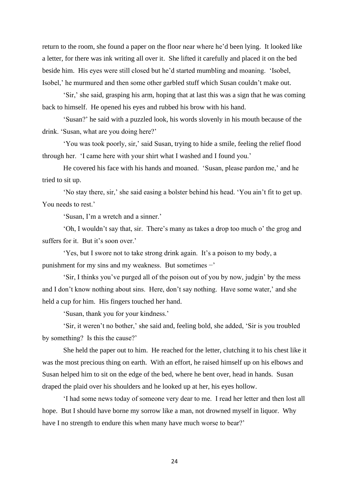return to the room, she found a paper on the floor near where he'd been lying. It looked like a letter, for there was ink writing all over it. She lifted it carefully and placed it on the bed beside him. His eyes were still closed but he'd started mumbling and moaning. 'Isobel, Isobel,' he murmured and then some other garbled stuff which Susan couldn't make out.

'Sir,' she said, grasping his arm, hoping that at last this was a sign that he was coming back to himself. He opened his eyes and rubbed his brow with his hand.

'Susan?' he said with a puzzled look, his words slovenly in his mouth because of the drink. 'Susan, what are you doing here?'

'You was took poorly, sir,' said Susan, trying to hide a smile, feeling the relief flood through her. 'I came here with your shirt what I washed and I found you.'

He covered his face with his hands and moaned. 'Susan, please pardon me,' and he tried to sit up.

'No stay there, sir,' she said easing a bolster behind his head. 'You ain't fit to get up. You needs to rest.'

'Susan, I'm a wretch and a sinner.'

'Oh, I wouldn't say that, sir. There's many as takes a drop too much o' the grog and suffers for it. But it's soon over.'

'Yes, but I swore not to take strong drink again. It's a poison to my body, a punishment for my sins and my weakness. But sometimes −'

'Sir, I thinks you've purged all of the poison out of you by now, judgin' by the mess and I don't know nothing about sins. Here, don't say nothing. Have some water,' and she held a cup for him. His fingers touched her hand.

'Susan, thank you for your kindness.'

'Sir, it weren't no bother,' she said and, feeling bold, she added, 'Sir is you troubled by something? Is this the cause?'

She held the paper out to him. He reached for the letter, clutching it to his chest like it was the most precious thing on earth. With an effort, he raised himself up on his elbows and Susan helped him to sit on the edge of the bed, where he bent over, head in hands. Susan draped the plaid over his shoulders and he looked up at her, his eyes hollow.

'I had some news today of someone very dear to me. I read her letter and then lost all hope. But I should have borne my sorrow like a man, not drowned myself in liquor. Why have I no strength to endure this when many have much worse to bear?'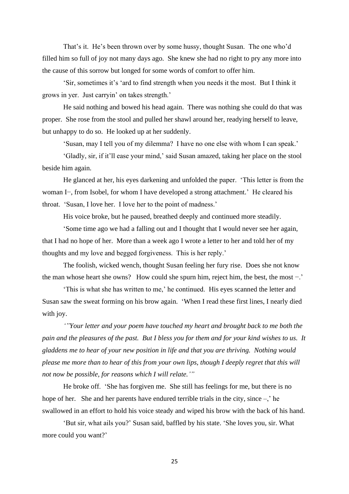That's it. He's been thrown over by some hussy, thought Susan. The one who'd filled him so full of joy not many days ago. She knew she had no right to pry any more into the cause of this sorrow but longed for some words of comfort to offer him.

'Sir, sometimes it's 'ard to find strength when you needs it the most. But I think it grows in yer. Just carryin' on takes strength.'

He said nothing and bowed his head again. There was nothing she could do that was proper. She rose from the stool and pulled her shawl around her, readying herself to leave, but unhappy to do so. He looked up at her suddenly.

'Susan, may I tell you of my dilemma? I have no one else with whom I can speak.'

'Gladly, sir, if it'll ease your mind,' said Susan amazed, taking her place on the stool beside him again.

He glanced at her, his eyes darkening and unfolded the paper. 'This letter is from the woman I−, from Isobel, for whom I have developed a strong attachment.' He cleared his throat. 'Susan, I love her. I love her to the point of madness.'

His voice broke, but he paused, breathed deeply and continued more steadily.

'Some time ago we had a falling out and I thought that I would never see her again, that I had no hope of her. More than a week ago I wrote a letter to her and told her of my thoughts and my love and begged forgiveness. This is her reply.'

The foolish, wicked wench, thought Susan feeling her fury rise. Does she not know the man whose heart she owns? How could she spurn him, reject him, the best, the most −.'

'This is what she has written to me,' he continued. His eyes scanned the letter and Susan saw the sweat forming on his brow again. 'When I read these first lines, I nearly died with joy.

*'"Your letter and your poem have touched my heart and brought back to me both the pain and the pleasures of the past. But I bless you for them and for your kind wishes to us. It gladdens me to hear of your new position in life and that you are thriving. Nothing would please me more than to hear of this from your own lips, though I deeply regret that this will not now be possible, for reasons which I will relate.'"*

He broke off. 'She has forgiven me. She still has feelings for me, but there is no hope of her. She and her parents have endured terrible trials in the city, since –,' he swallowed in an effort to hold his voice steady and wiped his brow with the back of his hand.

'But sir, what ails you?' Susan said, baffled by his state. 'She loves you, sir. What more could you want?'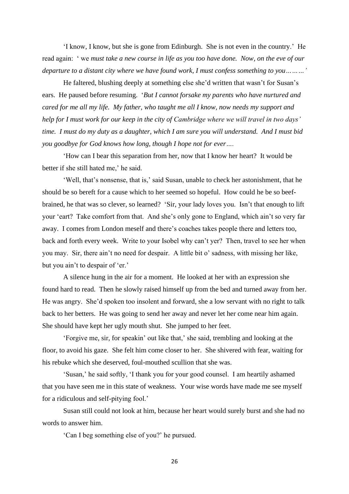'I know, I know, but she is gone from Edinburgh. She is not even in the country.' He read again: ' we *must take a new course in life as you too have done. Now, on the eve of our departure to a distant city where we have found work, I must confess something to you………'*

He faltered, blushing deeply at something else she'd written that wasn't for Susan's ears. He paused before resuming. '*But I cannot forsake my parents who have nurtured and cared for me all my life. My father, who taught me all I know, now needs my support and help for I must work for our keep in the city of Cambridge where we will travel in two days' time. I must do my duty as a daughter, which I am sure you will understand. And I must bid you goodbye for God knows how long, though I hope not for ever….*

'How can I bear this separation from her, now that I know her heart? It would be better if she still hated me,' he said.

'Well, that's nonsense, that is,' said Susan, unable to check her astonishment, that he should be so bereft for a cause which to her seemed so hopeful. How could he be so beefbrained, he that was so clever, so learned? 'Sir, your lady loves you. Isn't that enough to lift your 'eart? Take comfort from that. And she's only gone to England, which ain't so very far away. I comes from London meself and there's coaches takes people there and letters too, back and forth every week. Write to your Isobel why can't yer? Then, travel to see her when you may. Sir, there ain't no need for despair. A little bit o' sadness, with missing her like, but you ain't to despair of 'er.'

A silence hung in the air for a moment. He looked at her with an expression she found hard to read. Then he slowly raised himself up from the bed and turned away from her. He was angry. She'd spoken too insolent and forward, she a low servant with no right to talk back to her betters. He was going to send her away and never let her come near him again. She should have kept her ugly mouth shut. She jumped to her feet.

'Forgive me, sir, for speakin' out like that,' she said, trembling and looking at the floor, to avoid his gaze. She felt him come closer to her. She shivered with fear, waiting for his rebuke which she deserved, foul-mouthed scullion that she was.

'Susan,' he said softly, 'I thank you for your good counsel. I am heartily ashamed that you have seen me in this state of weakness. Your wise words have made me see myself for a ridiculous and self-pitying fool.'

Susan still could not look at him, because her heart would surely burst and she had no words to answer him.

'Can I beg something else of you?' he pursued.